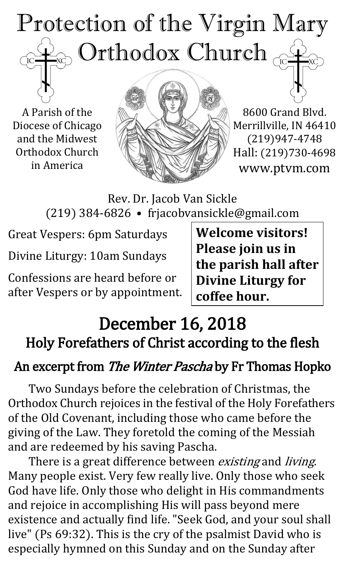# Protection of the Virgin Mary , Orthodox Church  $_{\mathbb{C}^2}$  $\mathrm{IC}$

A Parish of the Diocese of Chicago and the Midwest Orthodox Church in America



8600 Grand Blvd. Merrillville, IN 46410 (219)947-4748 Hall: (219)730-4698 www.ptvm.com

Rev. Dr. Jacob Van Sickle (219) 384-6826 • frjacobvansickle@gmail.com

Great Vespers: 6pm Saturdays

Divine Liturgy: 10am Sundays

Confessions are heard before or after Vespers or by appointment.

**Welcome visitors! Please join us in the parish hall after Divine Liturgy for coffee hour.**

# December 16, 2018 Holy Forefathers of Christ according to the flesh

## An excerpt from The Winter Pascha by Fr Thomas Hopko

Two Sundays before the celebration of Christmas, the Orthodox Church rejoices in the festival of the Holy Forefathers of the Old Covenant, including those who came before the giving of the Law. They foretold the coming of the Messiah and are redeemed by his saving Pascha.

There is a great difference between *existing* and *living*. Many people exist. Very few really live. Only those who seek God have life. Only those who delight in His commandments and rejoice in accomplishing His will pass beyond mere existence and actually find life. "Seek God, and your soul shall live" (Ps 69:32). This is the cry of the psalmist David who is especially hymned on this Sunday and on the Sunday after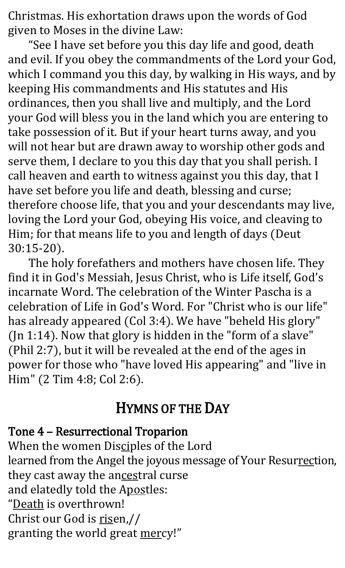Christmas. His exhortation draws upon the words of God given to Moses in the divine Law:

"See I have set before you this day life and good, death and evil. If you obey the commandments of the Lord your God, which I command you this day, by walking in His ways, and by keeping His commandments and His statutes and His ordinances, then you shall live and multiply, and the Lord your God will bless you in the land which you are entering to take possession of it. But if your heart turns away, and you will not hear but are drawn away to worship other gods and serve them, I declare to you this day that you shall perish. I call heaven and earth to witness against you this day, that I have set before you life and death, blessing and curse; therefore choose life, that you and your descendants may live, loving the Lord your God, obeying His voice, and cleaving to Him; for that means life to you and length of days (Deut 30:15-20).

The holy forefathers and mothers have chosen life. They find it in God's Messiah, Jesus Christ, who is Life itself, God's incarnate Word. The celebration of the Winter Pascha is a celebration of Life in God's Word. For "Christ who is our life" has already appeared (Col 3:4). We have "beheld His glory" (Jn 1:14). Now that glory is hidden in the "form of a slave" (Phil 2:7), but it will be revealed at the end of the ages in power for those who "have loved His appearing" and "live in Him" (2 Tim 4:8; Col 2:6).

#### HYMNS OF THE DAY

#### Tone 4 – Resurrectional Troparion

When the women Disciples of the Lord learned from the Angel the joyous message of Your Resurrection, they cast away the ancestral curse and elatedly told the Apostles: "Death is overthrown! Christ our God is risen,// granting the world great mercy!"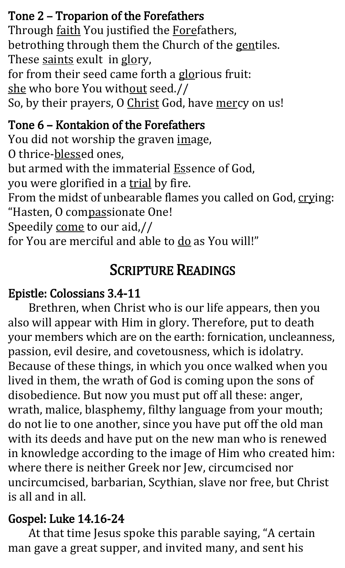#### Tone 2 – Troparion of the Forefathers

Through faith You justified the Forefathers, betrothing through them the Church of the gentiles. These saints exult in glory, for from their seed came forth a glorious fruit: she who bore You without seed.// So, by their prayers, O Christ God, have mercy on us!

#### Tone 6 – Kontakion of the Forefathers

You did not worship the graven image,

O thrice-blessed ones,

but armed with the immaterial **Essence** of God,

you were glorified in a trial by fire.

From the midst of unbearable flames you called on God, crying: "Hasten, O compassionate One!

Speedily come to our aid,//

for You are merciful and able to do as You will!"

## SCRIPTURE READINGS

#### Epistle: Colossians 3.4-11

Brethren, when Christ who is our life appears, then you also will appear with Him in glory. Therefore, put to death your members which are on the earth: fornication, uncleanness, passion, evil desire, and covetousness, which is idolatry. Because of these things, in which you once walked when you lived in them, the wrath of God is coming upon the sons of disobedience. But now you must put off all these: anger, wrath, malice, blasphemy, filthy language from your mouth; do not lie to one another, since you have put off the old man with its deeds and have put on the new man who is renewed in knowledge according to the image of Him who created him: where there is neither Greek nor Jew, circumcised nor uncircumcised, barbarian, Scythian, slave nor free, but Christ is all and in all.

#### Gospel: Luke 14.16-24

At that time Jesus spoke this parable saying, "A certain man gave a great supper, and invited many, and sent his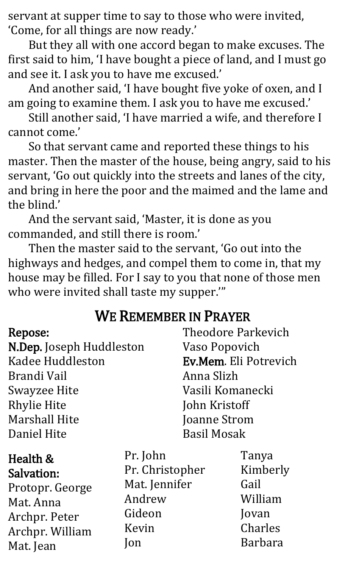servant at supper time to say to those who were invited, 'Come, for all things are now ready.'

But they all with one accord began to make excuses. The first said to him, 'I have bought a piece of land, and I must go and see it. I ask you to have me excused.'

And another said, 'I have bought five yoke of oxen, and I am going to examine them. I ask you to have me excused.'

Still another said, 'I have married a wife, and therefore I cannot come.'

So that servant came and reported these things to his master. Then the master of the house, being angry, said to his servant, 'Go out quickly into the streets and lanes of the city, and bring in here the poor and the maimed and the lame and the blind.'

And the servant said, 'Master, it is done as you commanded, and still there is room.'

Then the master said to the servant, 'Go out into the highways and hedges, and compel them to come in, that my house may be filled. For I say to you that none of those men who were invited shall taste my supper.'"

#### WE REMEMBER IN PRAYER

| Repose:<br>N.Dep. Joseph Huddleston<br><b>Kadee Huddleston</b><br>Brandi Vail<br><b>Swayzee Hite</b><br><b>Rhylie Hite</b><br><b>Marshall Hite</b><br>Daniel Hite |                 | <b>Theodore Parkevich</b><br>Vaso Popovich<br>Ev.Mem. Eli Potrevich<br>Anna Slizh<br>Vasili Komanecki<br>John Kristoff<br>Joanne Strom<br><b>Basil Mosak</b> |  |
|-------------------------------------------------------------------------------------------------------------------------------------------------------------------|-----------------|--------------------------------------------------------------------------------------------------------------------------------------------------------------|--|
| Health &                                                                                                                                                          | Pr. John        | Tanya                                                                                                                                                        |  |
| Salvation:                                                                                                                                                        | Pr. Christopher | Kimberly                                                                                                                                                     |  |
| Protopr. George                                                                                                                                                   | Mat. Jennifer   | Gail                                                                                                                                                         |  |
| Mat. Anna                                                                                                                                                         | Andrew          | William                                                                                                                                                      |  |
| Archpr. Peter                                                                                                                                                     | Gideon          | Jovan                                                                                                                                                        |  |

Archpr. William

Mat. Jean

Gideon Kevin Jon

Jovan Charles Barbara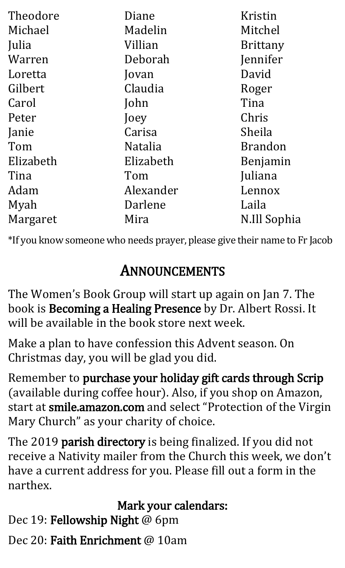| Theodore  | Diane          | Kristin         |
|-----------|----------------|-----------------|
| Michael   | Madelin        | Mitchel         |
| Julia     | Villian        | <b>Brittany</b> |
| Warren    | Deborah        | Jennifer        |
| Loretta   | Jovan          | David           |
| Gilbert   | Claudia        | Roger           |
| Carol     | John           | Tina            |
| Peter     | Joey           | Chris           |
| Janie     | Carisa         | Sheila          |
| Tom       | <b>Natalia</b> | <b>Brandon</b>  |
| Elizabeth | Elizabeth      | Benjamin        |
| Tina      | Tom            | Juliana         |
| Adam      | Alexander      | Lennox          |
| Myah      | Darlene        | Laila           |
| Margaret  | Mira           | N.Ill Sophia    |

\*If you know someone who needs prayer, please give their name to Fr Jacob

# ANNOUNCEMENTS

The Women's Book Group will start up again on Jan 7. The book is Becoming a Healing Presence by Dr. Albert Rossi. It will be available in the book store next week.

Make a plan to have confession this Advent season. On Christmas day, you will be glad you did.

Remember to purchase your holiday gift cards through Scrip (available during coffee hour). Also, if you shop on Amazon, start at smile.amazon.com and select "Protection of the Virgin Mary Church" as your charity of choice.

The 2019 parish directory is being finalized. If you did not receive a Nativity mailer from the Church this week, we don't have a current address for you. Please fill out a form in the narthex.

#### Mark your calendars:

Dec 19: Fellowship Night @ 6pm

Dec 20: Faith Enrichment @ 10am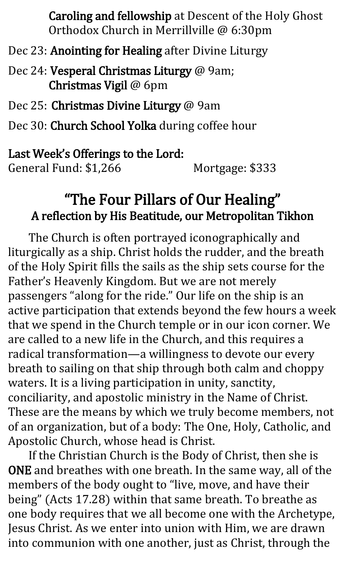Caroling and fellowship at Descent of the Holy Ghost Orthodox Church in Merrillville @ 6:30pm

Dec 23: Anointing for Healing after Divine Liturgy

Dec 24: Vesperal Christmas Liturgy @ 9am; Christmas Vigil @ 6pm

Dec 25: Christmas Divine Liturgy @ 9am

Dec 30: Church School Yolka during coffee hour

#### Last Week's Offerings to the Lord:

General Fund: \$1,266 Mortgage: \$333

### "The Four Pillars of Our Healing" A reflection by His Beatitude, our Metropolitan Tikhon

The Church is often portrayed iconographically and liturgically as a ship. Christ holds the rudder, and the breath of the Holy Spirit fills the sails as the ship sets course for the Father's Heavenly Kingdom. But we are not merely passengers "along for the ride." Our life on the ship is an active participation that extends beyond the few hours a week that we spend in the Church temple or in our icon corner. We are called to a new life in the Church, and this requires a radical transformation—a willingness to devote our every breath to sailing on that ship through both calm and choppy waters. It is a living participation in unity, sanctity, conciliarity, and apostolic ministry in the Name of Christ. These are the means by which we truly become members, not of an organization, but of a body: The One, Holy, Catholic, and Apostolic Church, whose head is Christ.

If the Christian Church is the Body of Christ, then she is ONE and breathes with one breath. In the same way, all of the members of the body ought to "live, move, and have their being" (Acts 17.28) within that same breath. To breathe as one body requires that we all become one with the Archetype, Jesus Christ. As we enter into union with Him, we are drawn into communion with one another, just as Christ, through the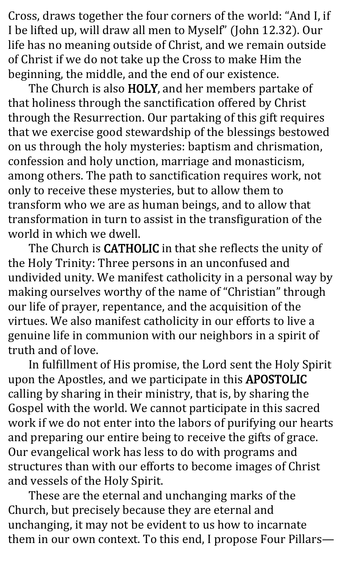Cross, draws together the four corners of the world: "And I, if I be lifted up, will draw all men to Myself" (John 12.32). Our life has no meaning outside of Christ, and we remain outside of Christ if we do not take up the Cross to make Him the beginning, the middle, and the end of our existence.

The Church is also HOLY, and her members partake of that holiness through the sanctification offered by Christ through the Resurrection. Our partaking of this gift requires that we exercise good stewardship of the blessings bestowed on us through the holy mysteries: baptism and chrismation, confession and holy unction, marriage and monasticism, among others. The path to sanctification requires work, not only to receive these mysteries, but to allow them to transform who we are as human beings, and to allow that transformation in turn to assist in the transfiguration of the world in which we dwell.

The Church is CATHOLIC in that she reflects the unity of the Holy Trinity: Three persons in an unconfused and undivided unity. We manifest catholicity in a personal way by making ourselves worthy of the name of "Christian" through our life of prayer, repentance, and the acquisition of the virtues. We also manifest catholicity in our efforts to live a genuine life in communion with our neighbors in a spirit of truth and of love.

In fulfillment of His promise, the Lord sent the Holy Spirit upon the Apostles, and we participate in this APOSTOLIC calling by sharing in their ministry, that is, by sharing the Gospel with the world. We cannot participate in this sacred work if we do not enter into the labors of purifying our hearts and preparing our entire being to receive the gifts of grace. Our evangelical work has less to do with programs and structures than with our efforts to become images of Christ and vessels of the Holy Spirit.

These are the eternal and unchanging marks of the Church, but precisely because they are eternal and unchanging, it may not be evident to us how to incarnate them in our own context. To this end, I propose Four Pillars